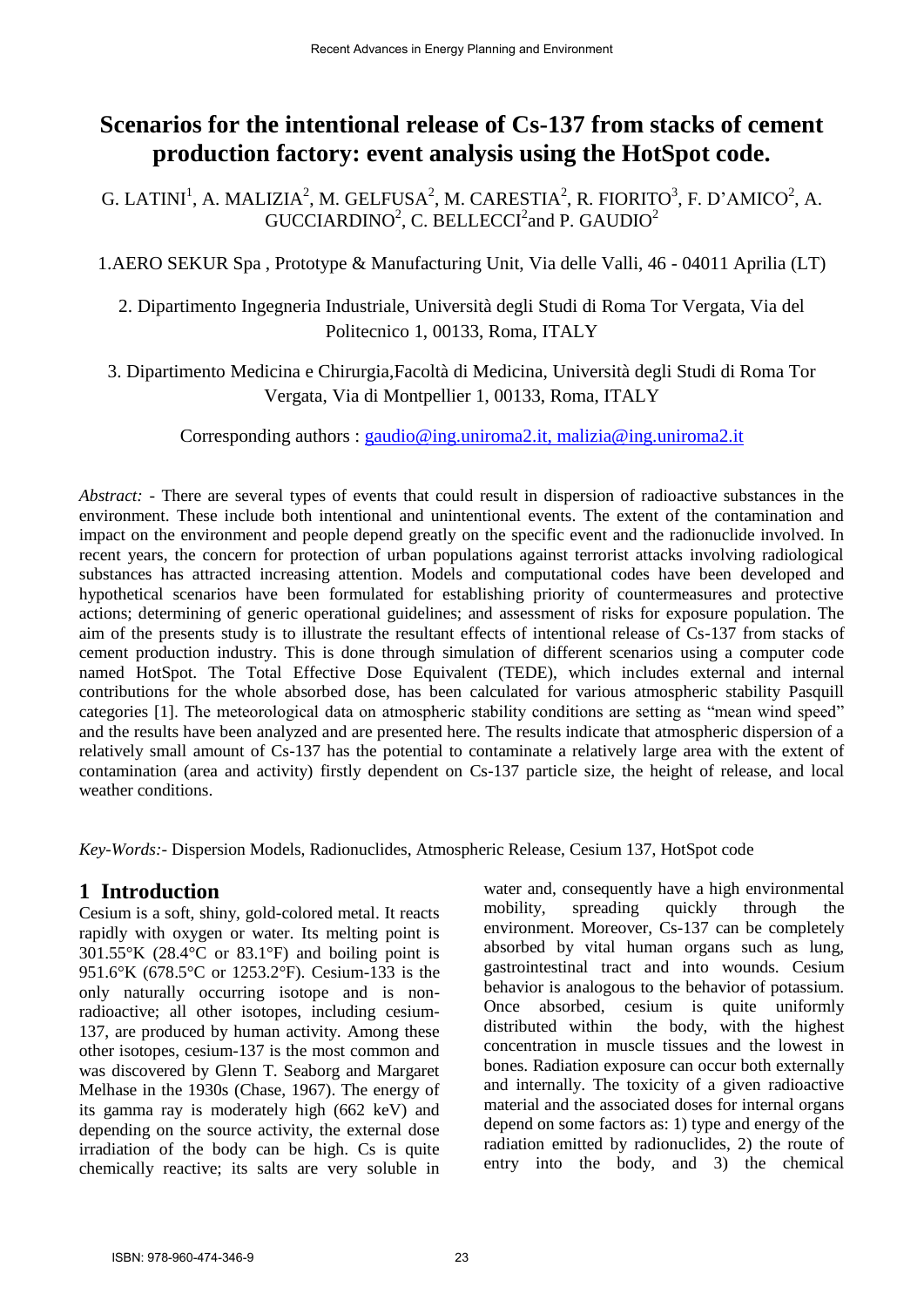# **Scenarios for the intentional release of Cs-137 from stacks of cement production factory: event analysis using the HotSpot code.**

G. LATINI<sup>1</sup>, A. MALIZIA<sup>2</sup>, M. GELFUSA<sup>2</sup>, M. CARESTIA<sup>2</sup>, R. FIORITO<sup>3</sup>, F. D'AMICO<sup>2</sup>, A.  $GUCCIARDINO<sup>2</sup>, C. BELLECCI<sup>2</sup> and P. GAUDIO<sup>2</sup>$ 

1.AERO SEKUR Spa , Prototype & Manufacturing Unit, Via delle Valli, 46 - 04011 Aprilia (LT)

2. Dipartimento Ingegneria Industriale, Università degli Studi di Roma Tor Vergata, Via del Politecnico 1, 00133, Roma, ITALY

3. Dipartimento Medicina e Chirurgia,Facoltà di Medicina, Università degli Studi di Roma Tor Vergata, Via di Montpellier 1, 00133, Roma, ITALY

Corresponding authors : [gaudio@ing.uniroma2.it,](mailto:gaudio@ing.uniroma2.it) malizia@ing.uniroma2.it

*Abstract:* - There are several types of events that could result in dispersion of radioactive substances in the environment. These include both intentional and unintentional events. The extent of the contamination and impact on the environment and people depend greatly on the specific event and the radionuclide involved. In recent years, the concern for protection of urban populations against terrorist attacks involving radiological substances has attracted increasing attention. Models and computational codes have been developed and hypothetical scenarios have been formulated for establishing priority of countermeasures and protective actions; determining of generic operational guidelines; and assessment of risks for exposure population. The aim of the presents study is to illustrate the resultant effects of intentional release of Cs-137 from stacks of cement production industry. This is done through simulation of different scenarios using a computer code named HotSpot. The Total Effective Dose Equivalent (TEDE), which includes external and internal contributions for the whole absorbed dose, has been calculated for various atmospheric stability Pasquill categories [1]. The meteorological data on atmospheric stability conditions are setting as "mean wind speed" and the results have been analyzed and are presented here. The results indicate that atmospheric dispersion of a relatively small amount of Cs-137 has the potential to contaminate a relatively large area with the extent of contamination (area and activity) firstly dependent on Cs-137 particle size, the height of release, and local weather conditions.

*Key-Words:*- Dispersion Models, Radionuclides, Atmospheric Release, Cesium 137, HotSpot code

# **1 Introduction**

Cesium is a soft, shiny, gold-colored metal. It reacts rapidly with oxygen or water. Its melting point is  $301.55\textdegree K$  (28.4 $\textdegree C$  or 83.1 $\textdegree F$ ) and boiling point is 951.6°K (678.5°C or 1253.2°F). Cesium-133 is the only naturally occurring isotope and is nonradioactive; all other isotopes, including cesium-137, are produced by human activity. Among these other isotopes, cesium-137 is the most common and was discovered by Glenn T. Seaborg and Margaret Melhase in the 1930s (Chase, 1967). The energy of its gamma ray is moderately high (662 keV) and depending on the source activity, the external dose irradiation of the body can be high. Cs is quite chemically reactive; its salts are very soluble in water and, consequently have a high environmental mobility, spreading quickly through the environment. Moreover, Cs-137 can be completely absorbed by vital human organs such as lung, gastrointestinal tract and into wounds. Cesium behavior is analogous to the behavior of potassium. Once absorbed, cesium is quite uniformly distributed within the body, with the highest concentration in muscle tissues and the lowest in bones. Radiation exposure can occur both externally and internally. The toxicity of a given radioactive material and the associated doses for internal organs depend on some factors as: 1) type and energy of the radiation emitted by radionuclides, 2) the route of entry into the body, and 3) the chemical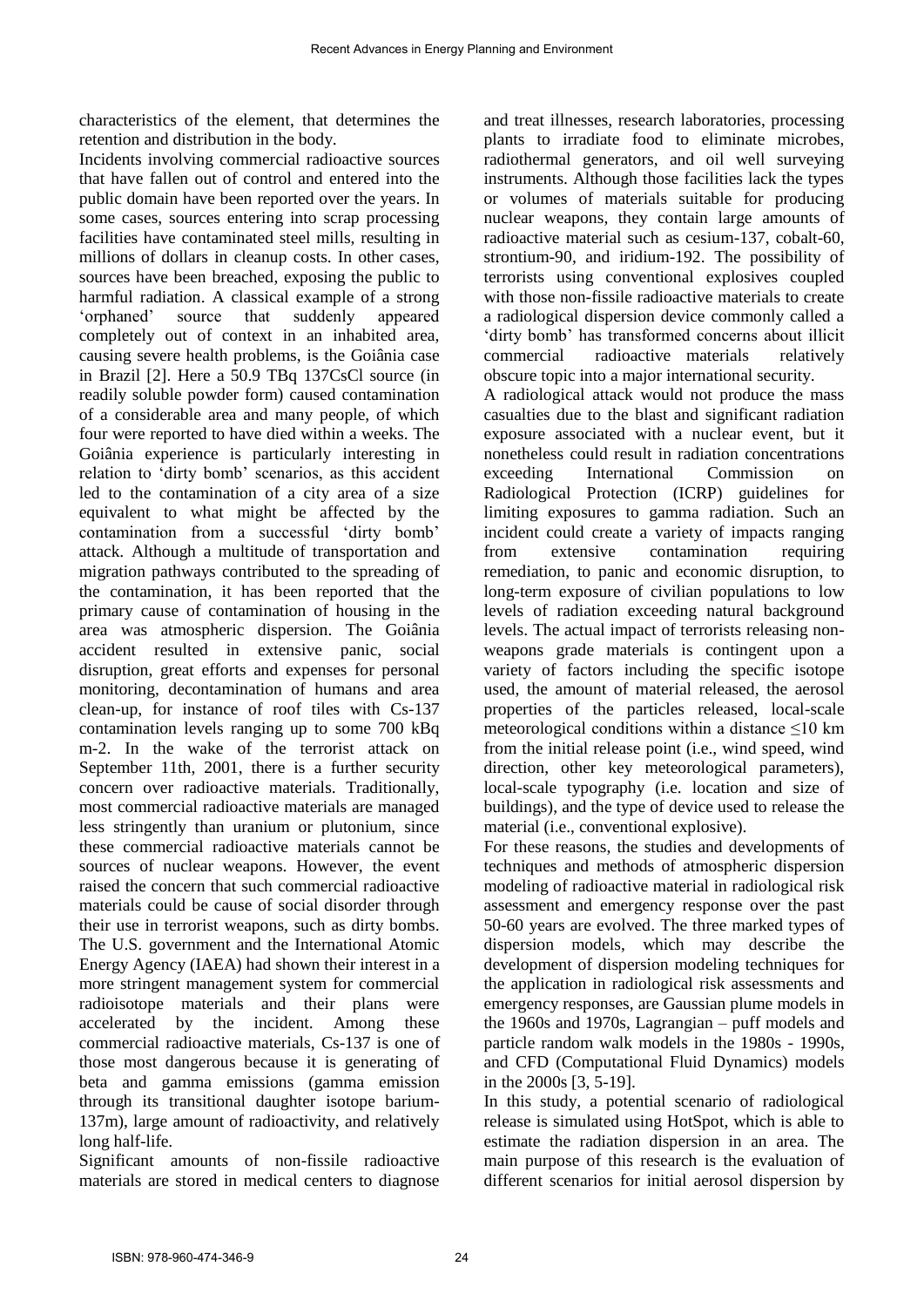characteristics of the element, that determines the retention and distribution in the body.

Incidents involving commercial radioactive sources that have fallen out of control and entered into the public domain have been reported over the years. In some cases, sources entering into scrap processing facilities have contaminated steel mills, resulting in millions of dollars in cleanup costs. In other cases, sources have been breached, exposing the public to harmful radiation. A classical example of a strong 'orphaned' source that suddenly appeared completely out of context in an inhabited area, causing severe health problems, is the Goiânia case in Brazil [2]. Here a 50.9 TBq 137CsCl source (in readily soluble powder form) caused contamination of a considerable area and many people, of which four were reported to have died within a weeks. The Goiânia experience is particularly interesting in relation to 'dirty bomb' scenarios, as this accident led to the contamination of a city area of a size equivalent to what might be affected by the contamination from a successful 'dirty bomb' attack. Although a multitude of transportation and migration pathways contributed to the spreading of the contamination, it has been reported that the primary cause of contamination of housing in the area was atmospheric dispersion. The Goiânia accident resulted in extensive panic, social disruption, great efforts and expenses for personal monitoring, decontamination of humans and area clean-up, for instance of roof tiles with Cs-137 contamination levels ranging up to some 700 kBq m-2. In the wake of the terrorist attack on September 11th, 2001, there is a further security concern over radioactive materials. Traditionally, most commercial radioactive materials are managed less stringently than uranium or plutonium, since these commercial radioactive materials cannot be sources of nuclear weapons. However, the event raised the concern that such commercial radioactive materials could be cause of social disorder through their use in terrorist weapons, such as dirty bombs. The U.S. government and the International Atomic Energy Agency (IAEA) had shown their interest in a more stringent management system for commercial radioisotope materials and their plans were accelerated by the incident. Among these commercial radioactive materials, Cs-137 is one of those most dangerous because it is generating of beta and gamma emissions (gamma emission through its transitional daughter isotope barium-137m), large amount of radioactivity, and relatively long half-life.

Significant amounts of non-fissile radioactive materials are stored in medical centers to diagnose and treat illnesses, research laboratories, processing plants to irradiate food to eliminate microbes, radiothermal generators, and oil well surveying instruments. Although those facilities lack the types or volumes of materials suitable for producing nuclear weapons, they contain large amounts of radioactive material such as cesium-137, cobalt-60, strontium-90, and iridium-192. The possibility of terrorists using conventional explosives coupled with those non-fissile radioactive materials to create a radiological dispersion device commonly called a 'dirty bomb' has transformed concerns about illicit commercial radioactive materials relatively obscure topic into a major international security.

A radiological attack would not produce the mass casualties due to the blast and significant radiation exposure associated with a nuclear event, but it nonetheless could result in radiation concentrations exceeding International Commission on Radiological Protection (ICRP) guidelines for limiting exposures to gamma radiation. Such an incident could create a variety of impacts ranging from extensive contamination requiring remediation, to panic and economic disruption, to long-term exposure of civilian populations to low levels of radiation exceeding natural background levels. The actual impact of terrorists releasing nonweapons grade materials is contingent upon a variety of factors including the specific isotope used, the amount of material released, the aerosol properties of the particles released, local-scale meteorological conditions within a distance  $\leq 10$  km from the initial release point (i.e., wind speed, wind direction, other key meteorological parameters), local-scale typography (i.e. location and size of buildings), and the type of device used to release the material (i.e., conventional explosive).

For these reasons, the studies and developments of techniques and methods of atmospheric dispersion modeling of radioactive material in radiological risk assessment and emergency response over the past 50-60 years are evolved. The three marked types of dispersion models, which may describe the development of dispersion modeling techniques for the application in radiological risk assessments and emergency responses, are Gaussian plume models in the 1960s and 1970s, Lagrangian – puff models and particle random walk models in the 1980s - 1990s, and CFD (Computational Fluid Dynamics) models in the 2000s [3, 5-19].

In this study, a potential scenario of radiological release is simulated using HotSpot, which is able to estimate the radiation dispersion in an area. The main purpose of this research is the evaluation of different scenarios for initial aerosol dispersion by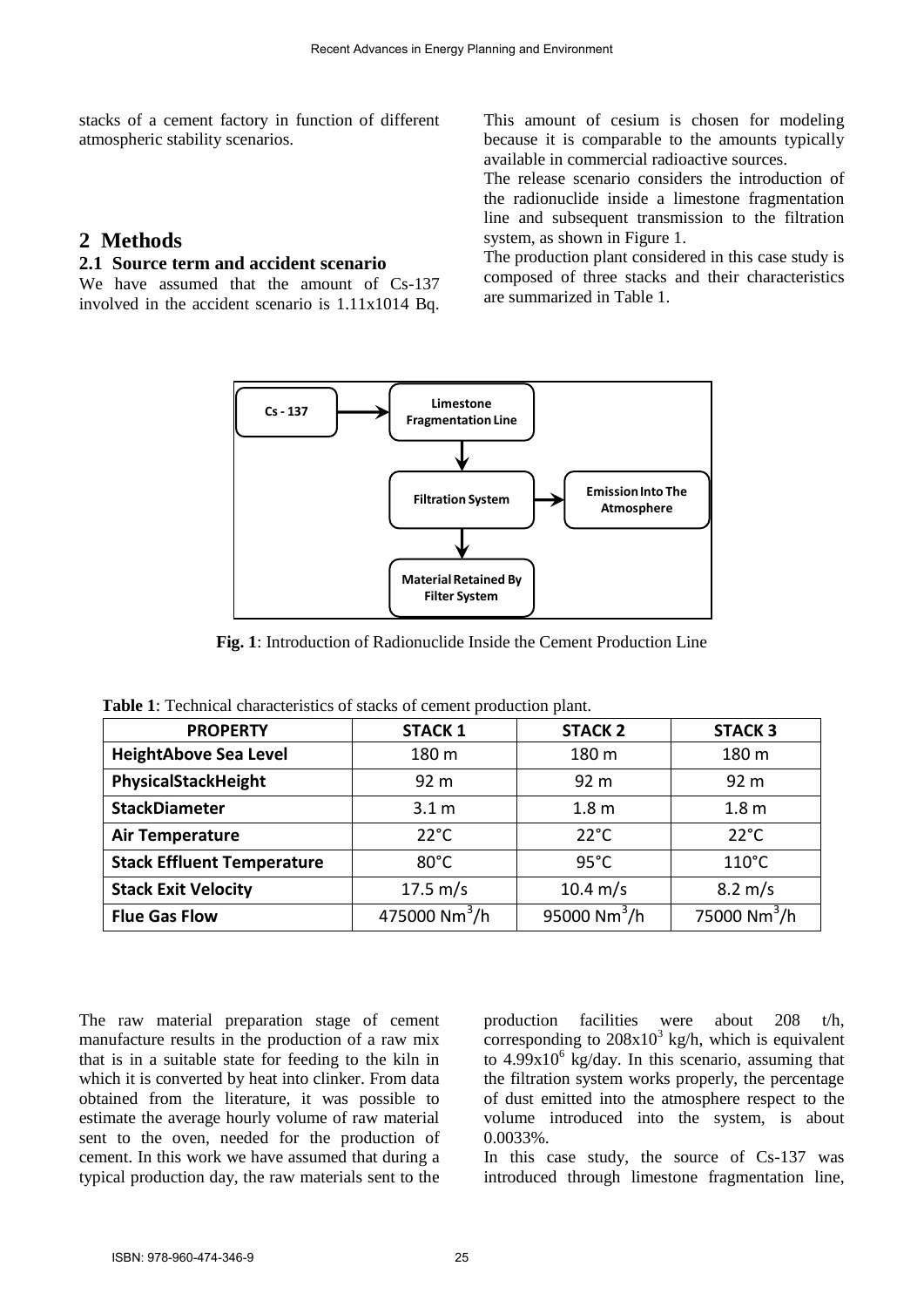stacks of a cement factory in function of different atmospheric stability scenarios.

## **2 Methods**

#### **2.1 Source term and accident scenario**

We have assumed that the amount of Cs-137 involved in the accident scenario is 1.11x1014 Bq. This amount of cesium is chosen for modeling because it is comparable to the amounts typically available in commercial radioactive sources.

The release scenario considers the introduction of the radionuclide inside a limestone fragmentation line and subsequent transmission to the filtration system, as shown in Figure 1.

The production plant considered in this case study is composed of three stacks and their characteristics are summarized in Table 1.



**Fig. 1**: Introduction of Radionuclide Inside the Cement Production Line

| <b>PROPERTY</b>                   | <b>STACK 1</b>            | <b>STACK 2</b>           | <b>STACK 3</b>           |
|-----------------------------------|---------------------------|--------------------------|--------------------------|
| <b>HeightAbove Sea Level</b>      | 180 m                     | 180 m                    | 180 m                    |
| PhysicalStackHeight               | 92 <sub>m</sub>           | 92 <sub>m</sub>          | 92 <sub>m</sub>          |
| <b>StackDiameter</b>              | 3.1 <sub>m</sub>          | 1.8 <sub>m</sub>         | 1.8 <sub>m</sub>         |
| <b>Air Temperature</b>            | $22^{\circ}$ C            | $22^{\circ}$ C           | $22^{\circ}$ C           |
| <b>Stack Effluent Temperature</b> | $80^{\circ}$ C            | $95^{\circ}$ C           | $110^{\circ}$ C          |
| <b>Stack Exit Velocity</b>        | 17.5 $m/s$                | $10.4 \text{ m/s}$       | $8.2 \,\mathrm{m/s}$     |
| <b>Flue Gas Flow</b>              | 475000 Nm <sup>3</sup> /h | 95000 Nm <sup>3</sup> /h | 75000 Nm <sup>3</sup> /h |

**Table 1**: Technical characteristics of stacks of cement production plant.

The raw material preparation stage of cement manufacture results in the production of a raw mix that is in a suitable state for feeding to the kiln in which it is converted by heat into clinker. From data obtained from the literature, it was possible to estimate the average hourly volume of raw material sent to the oven, needed for the production of cement. In this work we have assumed that during a typical production day, the raw materials sent to the

production facilities were about 208 t/h, corresponding to  $208x10^3$  kg/h, which is equivalent to 4.99x10<sup>6</sup> kg/day. In this scenario, assuming that the filtration system works properly, the percentage of dust emitted into the atmosphere respect to the volume introduced into the system, is about 0.0033%.

In this case study, the source of Cs-137 was introduced through limestone fragmentation line,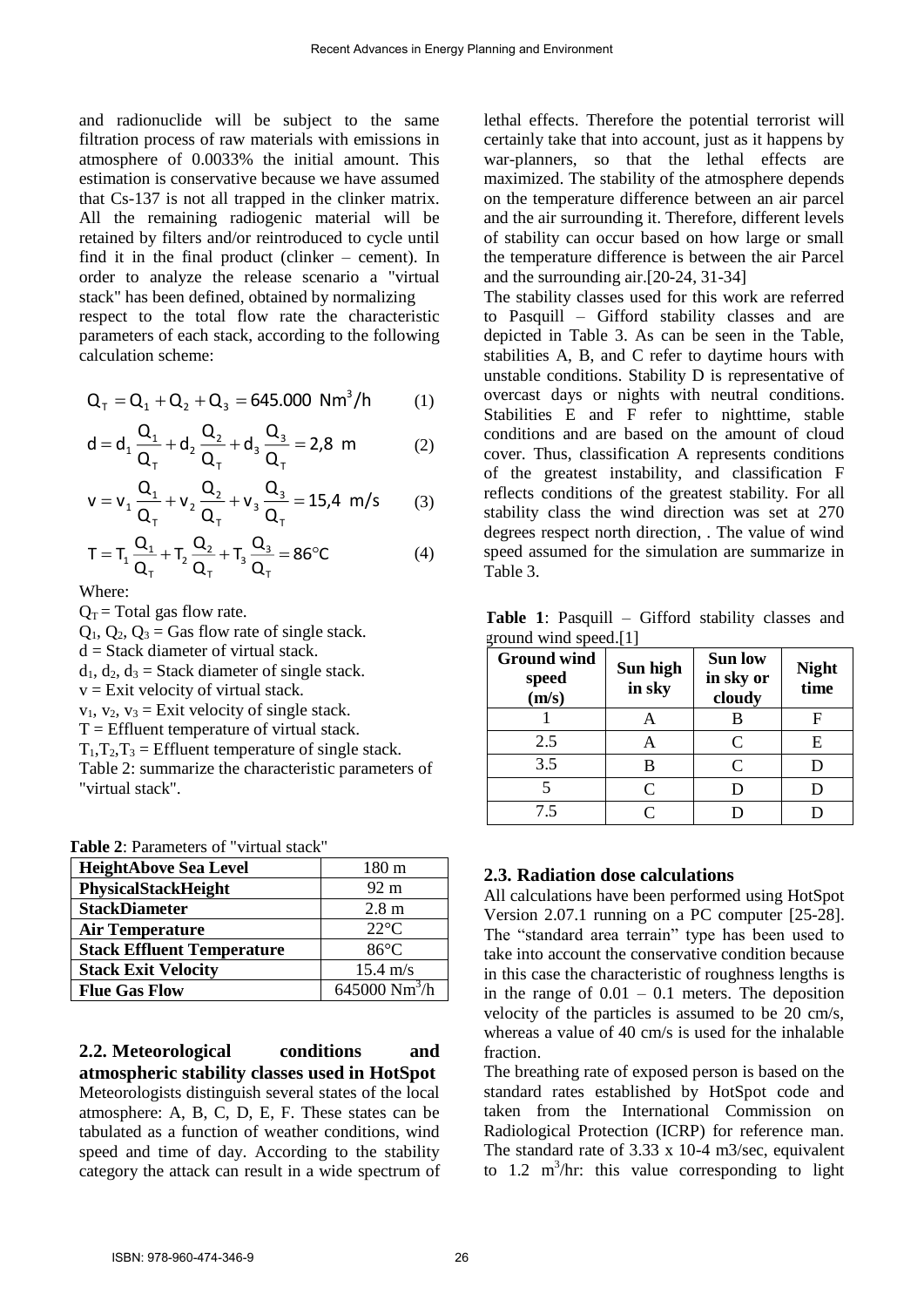and radionuclide will be subject to the same filtration process of raw materials with emissions in atmosphere of 0.0033% the initial amount. This estimation is conservative because we have assumed that Cs-137 is not all trapped in the clinker matrix. All the remaining radiogenic material will be retained by filters and/or reintroduced to cycle until find it in the final product (clinker – cement). In order to analyze the release scenario a "virtual stack" has been defined, obtained by normalizing respect to the total flow rate the characteristic

parameters of each stack, according to the following calculation scheme:

$$
Q_{T} = Q_{1} + Q_{2} + Q_{3} = 645.000 Nm^{3}/h \qquad (1)
$$

$$
d = d_1 \frac{Q_1}{Q_T} + d_2 \frac{Q_2}{Q_T} + d_3 \frac{Q_3}{Q_T} = 2.8 \text{ m}
$$
 (2)

$$
v = v_1 \frac{Q_1}{Q_T} + v_2 \frac{Q_2}{Q_T} + v_3 \frac{Q_3}{Q_T} = 15,4 \text{ m/s} \qquad (3)
$$

$$
T = T_1 \frac{Q_1}{Q_\tau} + T_2 \frac{Q_2}{Q_\tau} + T_3 \frac{Q_3}{Q_\tau} = 86^\circ C \tag{4}
$$

Where:

 $Q_T$  = Total gas flow rate.

 $Q_1$ ,  $Q_2$ ,  $Q_3$  = Gas flow rate of single stack.

 $d =$  Stack diameter of virtual stack.

 $d_1, d_2, d_3$  = Stack diameter of single stack.

 $v =$  Exit velocity of virtual stack.

 $v_1$ ,  $v_2$ ,  $v_3$  = Exit velocity of single stack.

 $T =$  Effluent temperature of virtual stack.

 $T_1, T_2, T_3$  = Effluent temperature of single stack.

Table 2: summarize the characteristic parameters of "virtual stack".

**Table 2**: Parameters of "virtual stack"

| <b>HeightAbove Sea Level</b>      | 180 m              |
|-----------------------------------|--------------------|
| PhysicalStackHeight               | $92 \text{ m}$     |
| <b>StackDiameter</b>              | 2.8 <sub>m</sub>   |
| <b>Air Temperature</b>            | $22^{\circ}C$      |
| <b>Stack Effluent Temperature</b> | $86^{\circ}$ C     |
| <b>Stack Exit Velocity</b>        | $15.4 \text{ m/s}$ |
| <b>Flue Gas Flow</b>              | 645000 $Nm^3/h$    |

**2.2. Meteorological conditions and atmospheric stability classes used in HotSpot**  Meteorologists distinguish several states of the local atmosphere: A, B, C, D, E, F. These states can be tabulated as a function of weather conditions, wind speed and time of day. According to the stability category the attack can result in a wide spectrum of lethal effects. Therefore the potential terrorist will certainly take that into account, just as it happens by war-planners, so that the lethal effects are maximized. The stability of the atmosphere depends on the temperature difference between an air parcel and the air surrounding it. Therefore, different levels of stability can occur based on how large or small the temperature difference is between the air Parcel and the surrounding air.[20-24, 31-34]

The stability classes used for this work are referred to Pasquill – Gifford stability classes and are depicted in Table 3. As can be seen in the Table, stabilities A, B, and C refer to daytime hours with unstable conditions. Stability D is representative of overcast days or nights with neutral conditions. Stabilities E and F refer to nighttime, stable conditions and are based on the amount of cloud cover. Thus, classification A represents conditions of the greatest instability, and classification F reflects conditions of the greatest stability. For all stability class the wind direction was set at 270 degrees respect north direction, . The value of wind speed assumed for the simulation are summarize in Table 3.

**Table 1**: Pasquill – Gifford stability classes and ground wind speed.[1]

| <b>Ground wind</b><br>speed<br>(m/s) | Sun high<br>in sky          | <b>Sun low</b><br>in sky or<br>cloudy | <b>Night</b><br>time |
|--------------------------------------|-----------------------------|---------------------------------------|----------------------|
|                                      |                             | В                                     |                      |
| 2.5                                  |                             | $\mathsf{\Gamma}$                     | E                    |
| 3.5                                  | В                           | C                                     |                      |
|                                      | $\mathcal{C}_{\mathcal{C}}$ |                                       |                      |
| 7.5                                  |                             |                                       |                      |

#### **2.3. Radiation dose calculations**

All calculations have been performed using HotSpot Version 2.07.1 running on a PC computer [25-28]. The "standard area terrain" type has been used to take into account the conservative condition because in this case the characteristic of roughness lengths is in the range of  $0.01 - 0.1$  meters. The deposition velocity of the particles is assumed to be 20 cm/s, whereas a value of 40 cm/s is used for the inhalable fraction.

The breathing rate of exposed person is based on the standard rates established by HotSpot code and taken from the International Commission on Radiological Protection (ICRP) for reference man. The standard rate of  $3.33 \times 10^{-4}$  m $3/sec$ , equivalent to 1.2  $m^3$ /hr: this value corresponding to light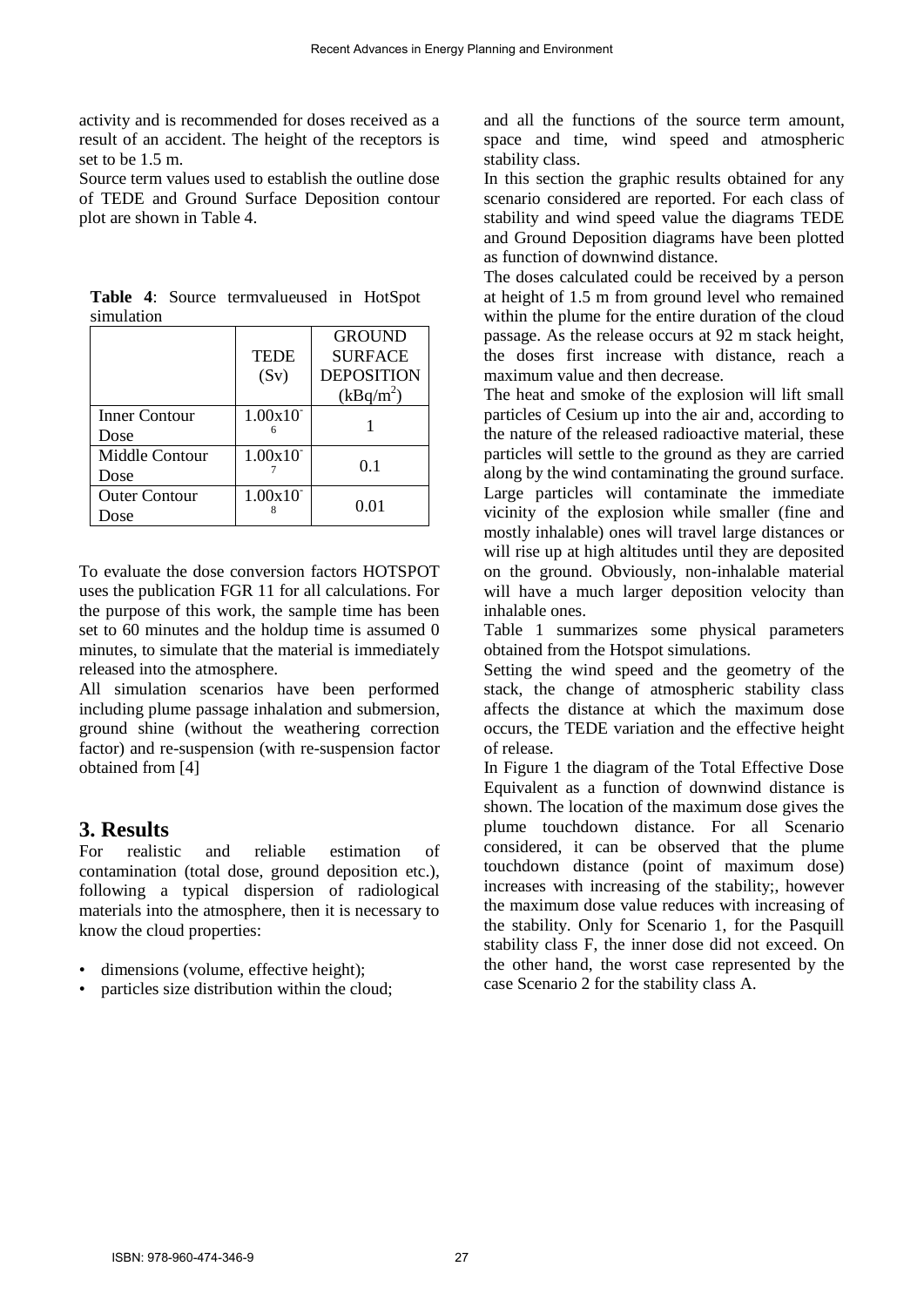activity and is recommended for doses received as a result of an accident. The height of the receptors is set to be 1.5 m.

Source term values used to establish the outline dose of TEDE and Ground Surface Deposition contour plot are shown in Table 4.

|                      |             | <b>GROUND</b>     |
|----------------------|-------------|-------------------|
|                      | <b>TEDE</b> | <b>SURFACE</b>    |
|                      | (Sv)        | <b>DEPOSITION</b> |
|                      |             | $(kBq/m^2)$       |
| Inner Contour        | 1.00x10     |                   |
| Dose                 |             |                   |
| Middle Contour       | 1.00x10     | 0.1               |
| Dose                 |             |                   |
| <b>Outer Contour</b> | 1.00x10     | 0.01              |
| <b>Dose</b>          |             |                   |

**Table 4**: Source termvalueused in HotSpot simulation

To evaluate the dose conversion factors HOTSPOT uses the publication FGR 11 for all calculations. For the purpose of this work, the sample time has been set to 60 minutes and the holdup time is assumed 0 minutes, to simulate that the material is immediately released into the atmosphere.

All simulation scenarios have been performed including plume passage inhalation and submersion, ground shine (without the weathering correction factor) and re-suspension (with re-suspension factor obtained from [4]

## **3. Results**

For realistic and reliable estimation of contamination (total dose, ground deposition etc.), following a typical dispersion of radiological materials into the atmosphere, then it is necessary to know the cloud properties:

- dimensions (volume, effective height);
- particles size distribution within the cloud;

and all the functions of the source term amount, space and time, wind speed and atmospheric stability class.

In this section the graphic results obtained for any scenario considered are reported. For each class of stability and wind speed value the diagrams TEDE and Ground Deposition diagrams have been plotted as function of downwind distance.

The doses calculated could be received by a person at height of 1.5 m from ground level who remained within the plume for the entire duration of the cloud passage. As the release occurs at 92 m stack height, the doses first increase with distance, reach a maximum value and then decrease.

The heat and smoke of the explosion will lift small particles of Cesium up into the air and, according to the nature of the released radioactive material, these particles will settle to the ground as they are carried along by the wind contaminating the ground surface. Large particles will contaminate the immediate vicinity of the explosion while smaller (fine and mostly inhalable) ones will travel large distances or will rise up at high altitudes until they are deposited on the ground. Obviously, non-inhalable material will have a much larger deposition velocity than inhalable ones.

Table 1 summarizes some physical parameters obtained from the Hotspot simulations.

Setting the wind speed and the geometry of the stack, the change of atmospheric stability class affects the distance at which the maximum dose occurs, the TEDE variation and the effective height of release.

In Figure 1 the diagram of the Total Effective Dose Equivalent as a function of downwind distance is shown. The location of the maximum dose gives the plume touchdown distance. For all Scenario considered, it can be observed that the plume touchdown distance (point of maximum dose) increases with increasing of the stability;, however the maximum dose value reduces with increasing of the stability. Only for Scenario 1, for the Pasquill stability class F, the inner dose did not exceed. On the other hand, the worst case represented by the case Scenario 2 for the stability class A.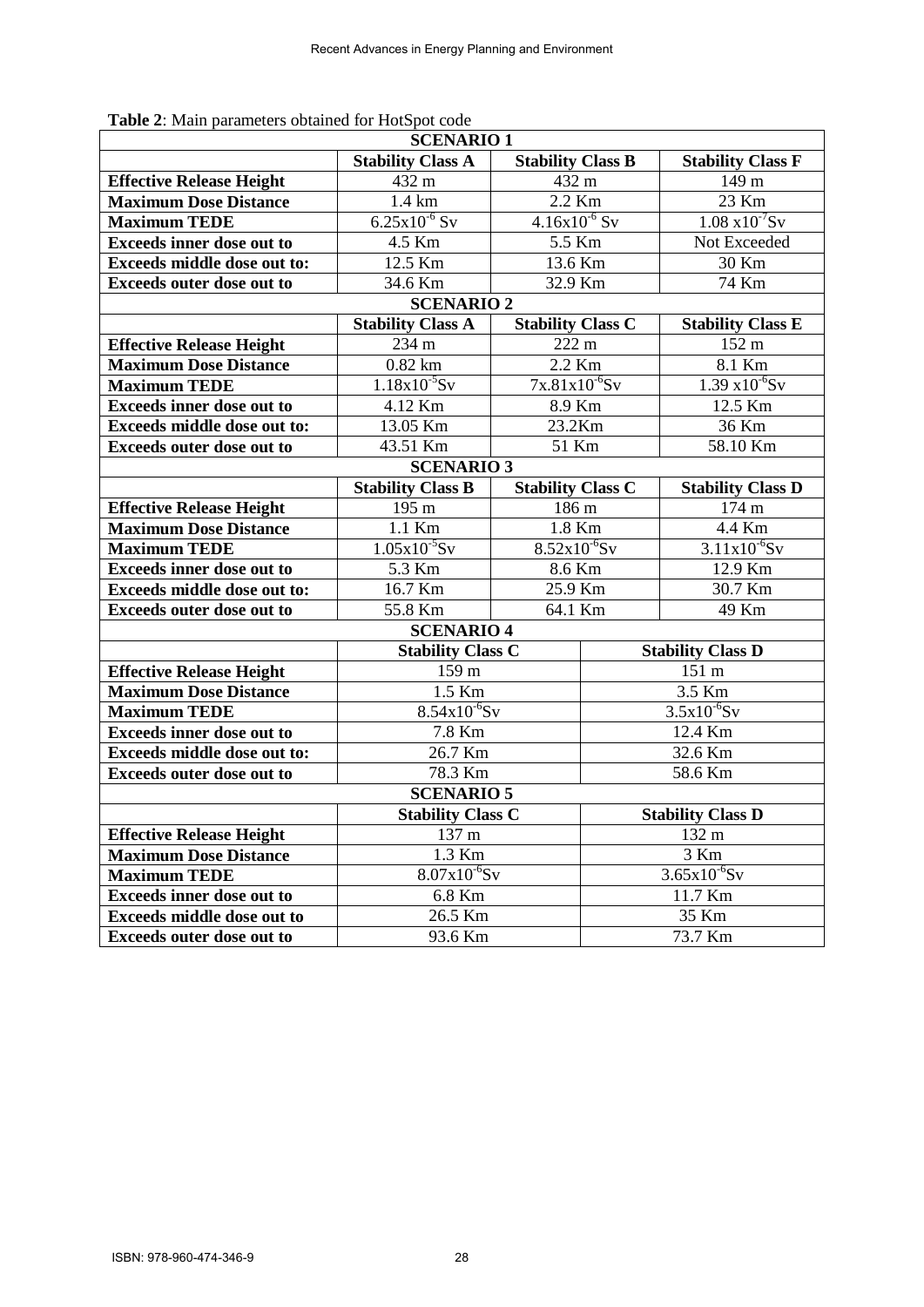| <b>SCENARIO1</b>                   |                          |                          |                          |                          |  |
|------------------------------------|--------------------------|--------------------------|--------------------------|--------------------------|--|
|                                    | <b>Stability Class A</b> | <b>Stability Class B</b> |                          | <b>Stability Class F</b> |  |
| <b>Effective Release Height</b>    | 432 m                    | 432 m                    |                          | 149 <sub>m</sub>         |  |
| <b>Maximum Dose Distance</b>       | $1.4 \text{ km}$         | 2.2 Km                   |                          | $23$ Km                  |  |
| <b>Maximum TEDE</b>                | $6.25x10^{-6}$ Sv        | $4.16x10^{-6}$ Sv        |                          | $1.08 \times 10^{-7}$ Sv |  |
| <b>Exceeds inner dose out to</b>   | 4.5 Km                   | 5.5 Km                   |                          | Not Exceeded             |  |
| <b>Exceeds middle dose out to:</b> | 12.5 Km                  | 13.6 Km                  |                          | 30 Km                    |  |
| <b>Exceeds outer dose out to</b>   | 34.6 Km                  | 32.9 Km                  |                          | 74 Km                    |  |
| <b>SCENARIO 2</b>                  |                          |                          |                          |                          |  |
|                                    | <b>Stability Class A</b> | <b>Stability Class C</b> |                          | <b>Stability Class E</b> |  |
| <b>Effective Release Height</b>    | 234 m                    | 222 m                    |                          | 152 m                    |  |
| <b>Maximum Dose Distance</b>       | $0.82$ km                | 2.2 Km                   |                          | 8.1 Km                   |  |
| <b>Maximum TEDE</b>                | $1.18x10^{-5}Sv$         | $7x.81x10^{-6}$ Sv       |                          | $1.39 \times 10^{-6}$ Sv |  |
| <b>Exceeds inner dose out to</b>   | 4.12 Km                  | 8.9 Km                   |                          | 12.5 Km                  |  |
| <b>Exceeds middle dose out to:</b> | 13.05 Km                 | 23.2Km                   |                          | 36 Km                    |  |
| <b>Exceeds outer dose out to</b>   | 43.51 Km                 | 51 Km                    |                          | 58.10 Km                 |  |
| <b>SCENARIO 3</b>                  |                          |                          |                          |                          |  |
|                                    | <b>Stability Class B</b> | <b>Stability Class C</b> |                          | <b>Stability Class D</b> |  |
| <b>Effective Release Height</b>    | 195 m                    | 186 m                    |                          | 174 m                    |  |
| <b>Maximum Dose Distance</b>       | 1.1 Km                   | 1.8 Km                   |                          | 4.4 Km                   |  |
| <b>Maximum TEDE</b>                | $1.05x10^{-5}Sv$         | $8.52x10^{-6}$ Sv        |                          | $3.11x10^{-6}$ Sv        |  |
| <b>Exceeds inner dose out to</b>   | 5.3 Km                   | 8.6 Km                   |                          | 12.9 Km                  |  |
| <b>Exceeds middle dose out to:</b> | 16.7 Km                  | 25.9 Km                  |                          | 30.7 Km                  |  |
| <b>Exceeds outer dose out to</b>   | 55.8 Km                  | 64.1 Km                  |                          | 49 Km                    |  |
|                                    | <b>SCENARIO 4</b>        |                          |                          |                          |  |
|                                    |                          | <b>Stability Class C</b> |                          | <b>Stability Class D</b> |  |
| <b>Effective Release Height</b>    | 159 m                    |                          | 151 m                    |                          |  |
| <b>Maximum Dose Distance</b>       | 1.5 Km                   |                          | 3.5 Km                   |                          |  |
| <b>Maximum TEDE</b>                | $8.54x10^{-6}$ Sv        |                          | $3.5x10^{-6}$ Sv         |                          |  |
| <b>Exceeds inner dose out to</b>   | 7.8 Km                   |                          | 12.4 Km                  |                          |  |
| Exceeds middle dose out to:        | 26.7 Km                  |                          | 32.6 Km                  |                          |  |
| <b>Exceeds outer dose out to</b>   | 78.3 Km                  |                          | 58.6 Km                  |                          |  |
| <b>SCENARIO 5</b>                  |                          |                          |                          |                          |  |
|                                    | <b>Stability Class C</b> |                          | <b>Stability Class D</b> |                          |  |
| <b>Effective Release Height</b>    | 137 m                    |                          | 132 m                    |                          |  |
| <b>Maximum Dose Distance</b>       | 1.3 Km                   |                          | 3 Km                     |                          |  |
| <b>Maximum TEDE</b>                | $8.07x10^{-6}$ Sv        |                          | $3.65x10^{-6}$ Sv        |                          |  |
| <b>Exceeds inner dose out to</b>   | 6.8 Km                   |                          | 11.7 Km                  |                          |  |
| <b>Exceeds middle dose out to</b>  | 26.5 Km                  |                          | 35 Km                    |                          |  |
| <b>Exceeds outer dose out to</b>   | 93.6 Km                  |                          | 73.7 Km                  |                          |  |

**Table 2**: Main parameters obtained for HotSpot code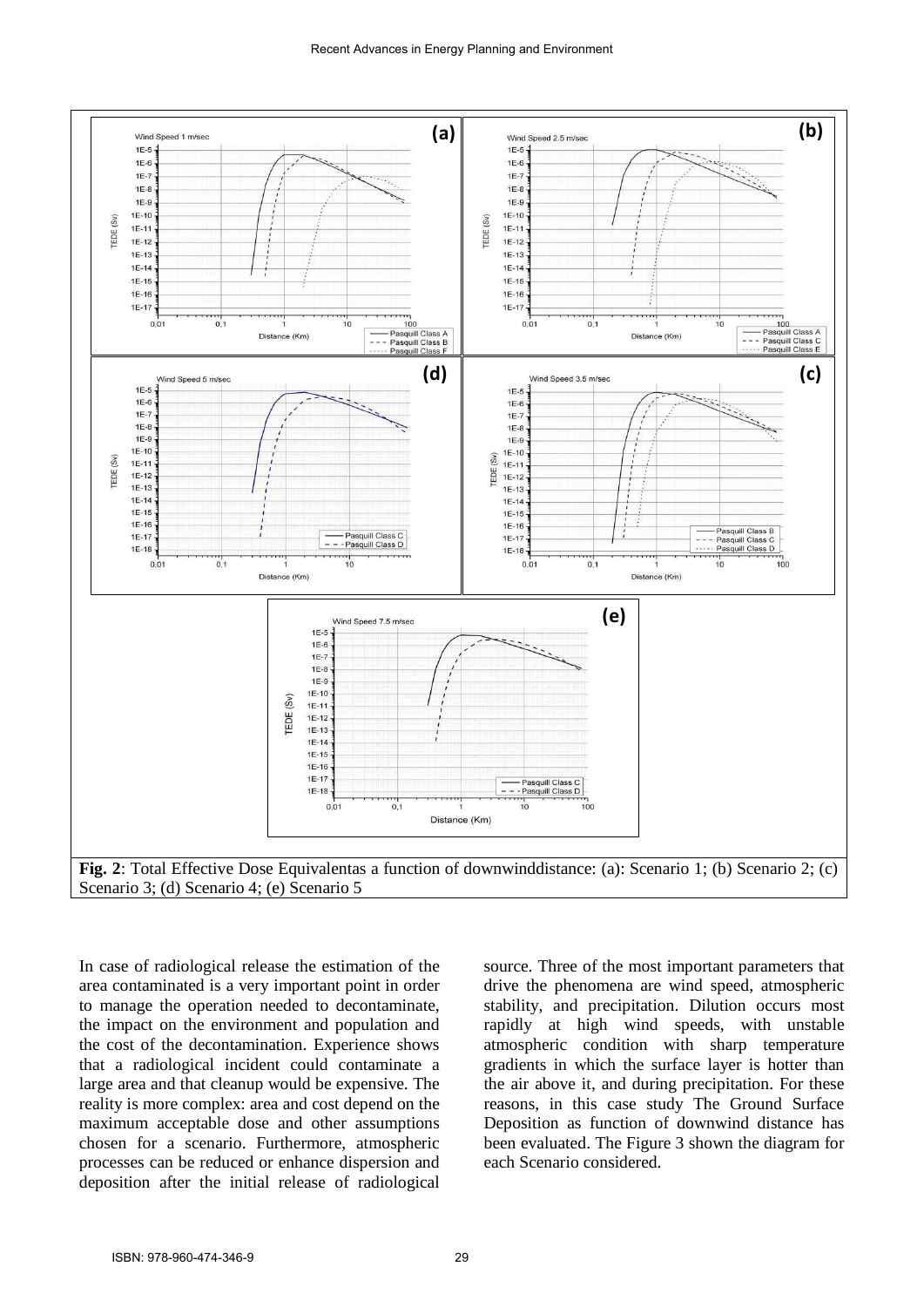

**Fig. 2**: Total Effective Dose Equivalentas a function of downwinddistance: (a): Scenario 1; (b) Scenario 2; (c) Scenario 3; (d) Scenario 4; (e) Scenario 5

In case of radiological release the estimation of the area contaminated is a very important point in order to manage the operation needed to decontaminate, the impact on the environment and population and the cost of the decontamination. Experience shows that a radiological incident could contaminate a large area and that cleanup would be expensive. The reality is more complex: area and cost depend on the maximum acceptable dose and other assumptions chosen for a scenario. Furthermore, atmospheric processes can be reduced or enhance dispersion and deposition after the initial release of radiological

source. Three of the most important parameters that drive the phenomena are wind speed, atmospheric stability, and precipitation. Dilution occurs most rapidly at high wind speeds, with unstable atmospheric condition with sharp temperature gradients in which the surface layer is hotter than the air above it, and during precipitation. For these reasons, in this case study The Ground Surface Deposition as function of downwind distance has been evaluated. The Figure 3 shown the diagram for each Scenario considered.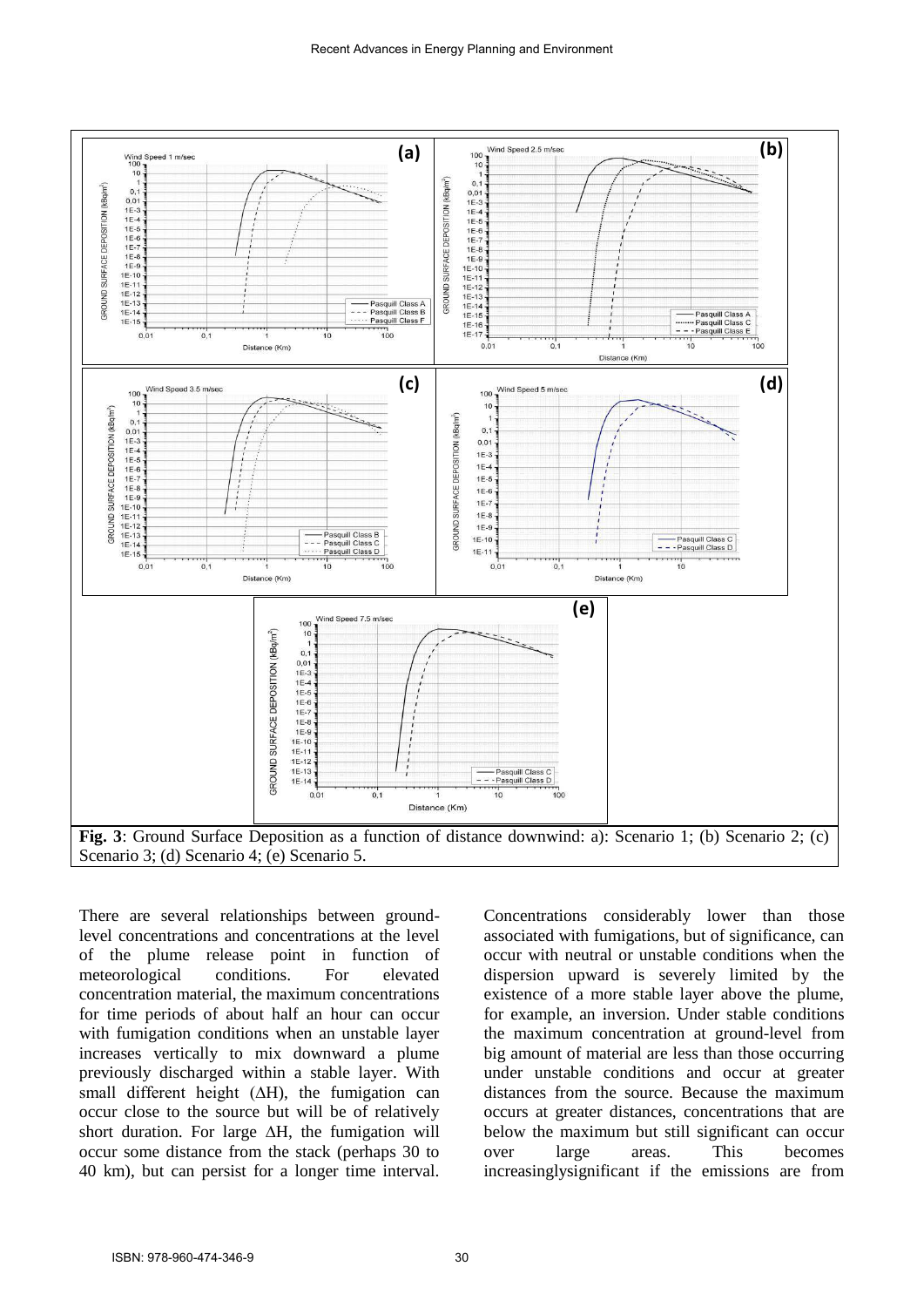

There are several relationships between groundlevel concentrations and concentrations at the level of the plume release point in function of meteorological conditions. For elevated concentration material, the maximum concentrations for time periods of about half an hour can occur with fumigation conditions when an unstable layer increases vertically to mix downward a plume previously discharged within a stable layer. With small different height  $(∆H)$ , the fumigation can occur close to the source but will be of relatively short duration. For large ∆H, the fumigation will occur some distance from the stack (perhaps 30 to 40 km), but can persist for a longer time interval.

Concentrations considerably lower than those associated with fumigations, but of significance, can occur with neutral or unstable conditions when the dispersion upward is severely limited by the existence of a more stable layer above the plume, for example, an inversion. Under stable conditions the maximum concentration at ground-level from big amount of material are less than those occurring under unstable conditions and occur at greater distances from the source. Because the maximum occurs at greater distances, concentrations that are below the maximum but still significant can occur over large areas. This becomes increasinglysignificant if the emissions are from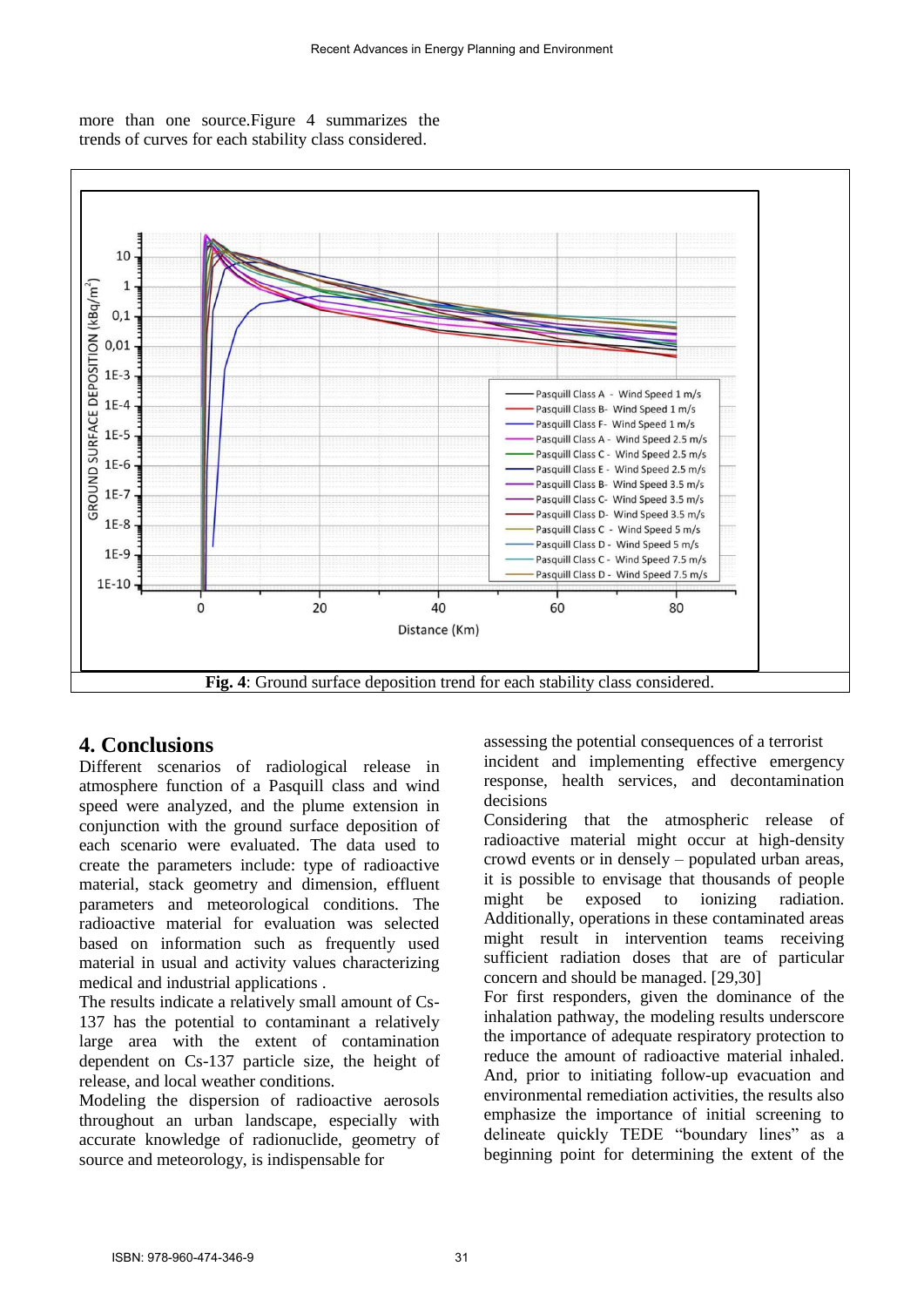more than one source.Figure 4 summarizes the trends of curves for each stability class considered.



# **4. Conclusions**

Different scenarios of radiological release in atmosphere function of a Pasquill class and wind speed were analyzed, and the plume extension in conjunction with the ground surface deposition of each scenario were evaluated. The data used to create the parameters include: type of radioactive material, stack geometry and dimension, effluent parameters and meteorological conditions. The radioactive material for evaluation was selected based on information such as frequently used material in usual and activity values characterizing medical and industrial applications .

The results indicate a relatively small amount of Cs-137 has the potential to contaminant a relatively large area with the extent of contamination dependent on Cs-137 particle size, the height of release, and local weather conditions.

Modeling the dispersion of radioactive aerosols throughout an urban landscape, especially with accurate knowledge of radionuclide, geometry of source and meteorology, is indispensable for

assessing the potential consequences of a terrorist incident and implementing effective emergency response, health services, and decontamination decisions

Considering that the atmospheric release of radioactive material might occur at high-density crowd events or in densely – populated urban areas, it is possible to envisage that thousands of people might be exposed to ionizing radiation. Additionally, operations in these contaminated areas might result in intervention teams receiving sufficient radiation doses that are of particular concern and should be managed. [29,30]

For first responders, given the dominance of the inhalation pathway, the modeling results underscore the importance of adequate respiratory protection to reduce the amount of radioactive material inhaled. And, prior to initiating follow-up evacuation and environmental remediation activities, the results also emphasize the importance of initial screening to delineate quickly TEDE "boundary lines" as a beginning point for determining the extent of the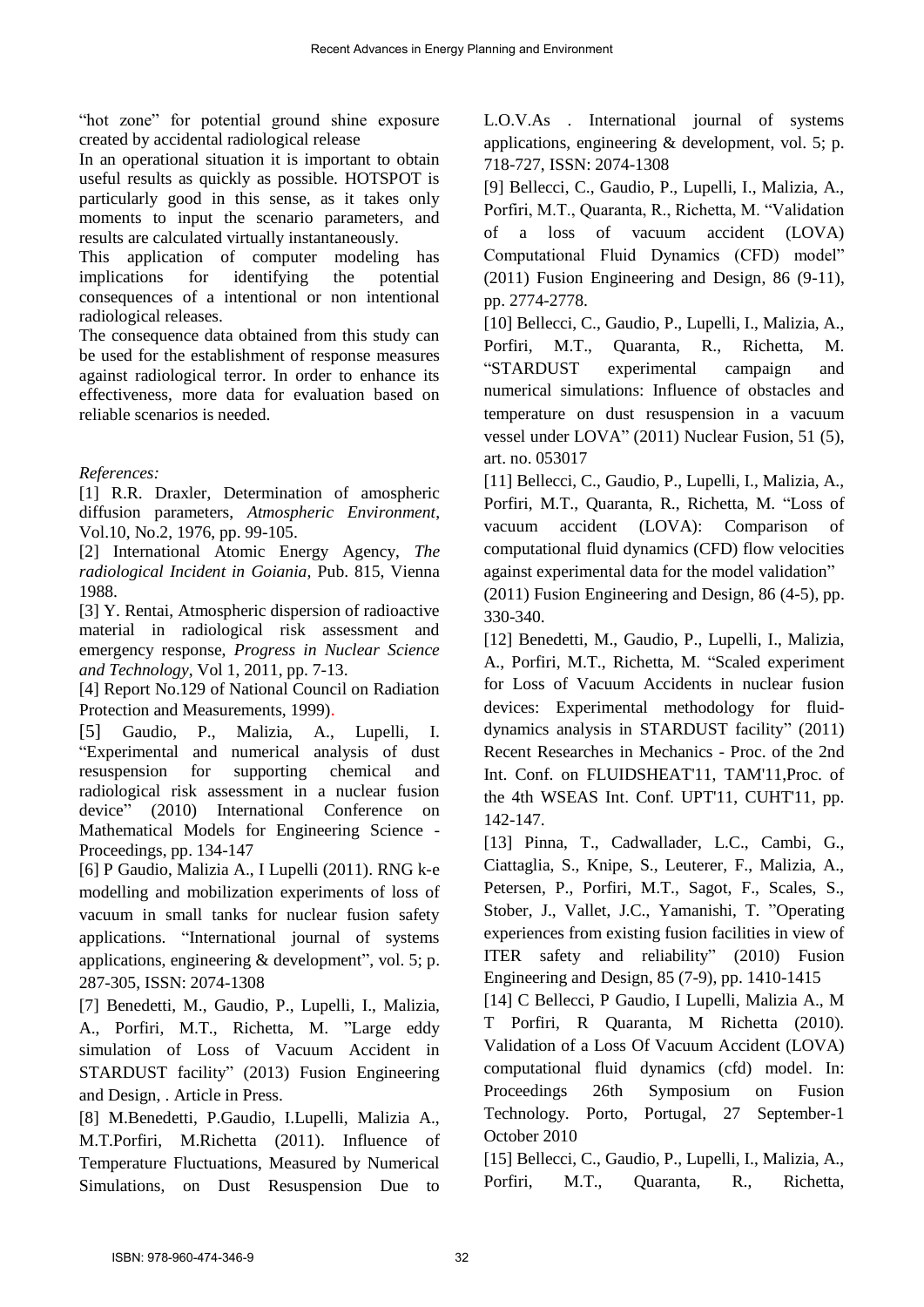"hot zone" for potential ground shine exposure created by accidental radiological release

In an operational situation it is important to obtain useful results as quickly as possible. HOTSPOT is particularly good in this sense, as it takes only moments to input the scenario parameters, and results are calculated virtually instantaneously.

This application of computer modeling has implications for identifying the potential consequences of a intentional or non intentional radiological releases.

The consequence data obtained from this study can be used for the establishment of response measures against radiological terror. In order to enhance its effectiveness, more data for evaluation based on reliable scenarios is needed.

### *References:*

[1] R.R. Draxler, Determination of amospheric diffusion parameters, *Atmospheric Environment*, Vol.10, No.2, 1976, pp. 99-105.

[2] International Atomic Energy Agency, *The radiological Incident in Goiania,* Pub. 815, Vienna 1988.

[3] Y. Rentai, Atmospheric dispersion of radioactive material in radiological risk assessment and emergency response, *Progress in Nuclear Science and Technology*, Vol 1, 2011, pp. 7-13.

[4] Report No.129 of National Council on Radiation Protection and Measurements, 1999).

[5] Gaudio, P., Malizia, A., Lupelli, I. "Experimental and numerical analysis of dust resuspension for supporting chemical and radiological risk assessment in a nuclear fusion device" (2010) International Conference on Mathematical Models for Engineering Science - Proceedings, pp. 134-147

[6] P Gaudio, Malizia A., I Lupelli (2011). RNG k-e modelling and mobilization experiments of loss of vacuum in small tanks for nuclear fusion safety applications. "International journal of systems applications, engineering & development", vol. 5; p. 287-305, ISSN: 2074-1308

[7] Benedetti, M., Gaudio, P., Lupelli, I., Malizia, A., Porfiri, M.T., Richetta, M. "Large eddy simulation of Loss of Vacuum Accident in STARDUST facility" (2013) Fusion Engineering and Design, . Article in Press.

[8] M.Benedetti, P.Gaudio, I.Lupelli, Malizia A., M.T.Porfiri, M.Richetta (2011). Influence of Temperature Fluctuations, Measured by Numerical Simulations, on Dust Resuspension Due to L.O.V.As . International journal of systems applications, engineering & development, vol. 5; p. 718-727, ISSN: 2074-1308

[9] Bellecci, C., Gaudio, P., Lupelli, I., Malizia, A., Porfiri, M.T., Quaranta, R., Richetta, M. "Validation of a loss of vacuum accident (LOVA) Computational Fluid Dynamics (CFD) model" (2011) Fusion Engineering and Design, 86 (9-11), pp. 2774-2778.

[10] Bellecci, C., Gaudio, P., Lupelli, I., Malizia, A., Porfiri, M.T., Quaranta, R., Richetta, M. "STARDUST experimental campaign and numerical simulations: Influence of obstacles and temperature on dust resuspension in a vacuum vessel under LOVA" (2011) Nuclear Fusion, 51 (5), art. no. 053017

[11] Bellecci, C., Gaudio, P., Lupelli, I., Malizia, A., Porfiri, M.T., Quaranta, R., Richetta, M. "Loss of vacuum accident (LOVA): Comparison of computational fluid dynamics (CFD) flow velocities against experimental data for the model validation"

(2011) Fusion Engineering and Design, 86 (4-5), pp. 330-340.

[12] Benedetti, M., Gaudio, P., Lupelli, I., Malizia, A., Porfiri, M.T., Richetta, M. "Scaled experiment for Loss of Vacuum Accidents in nuclear fusion devices: Experimental methodology for fluiddynamics analysis in STARDUST facility" (2011) Recent Researches in Mechanics - Proc. of the 2nd Int. Conf. on FLUIDSHEAT'11, TAM'11,Proc. of the 4th WSEAS Int. Conf. UPT'11, CUHT'11, pp. 142-147.

[13] Pinna, T., Cadwallader, L.C., Cambi, G., Ciattaglia, S., Knipe, S., Leuterer, F., Malizia, A., Petersen, P., Porfiri, M.T., Sagot, F., Scales, S., Stober, J., Vallet, J.C., Yamanishi, T. "Operating experiences from existing fusion facilities in view of ITER safety and reliability" (2010) Fusion Engineering and Design, 85 (7-9), pp. 1410-1415

[14] C Bellecci, P Gaudio, I Lupelli, Malizia A., M T Porfiri, R Quaranta, M Richetta (2010). Validation of a Loss Of Vacuum Accident (LOVA) computational fluid dynamics (cfd) model. In: Proceedings 26th Symposium on Fusion Technology. Porto, Portugal, 27 September-1 October 2010

[15] Bellecci, C., Gaudio, P., Lupelli, I., Malizia, A., Porfiri, M.T., Quaranta, R., Richetta,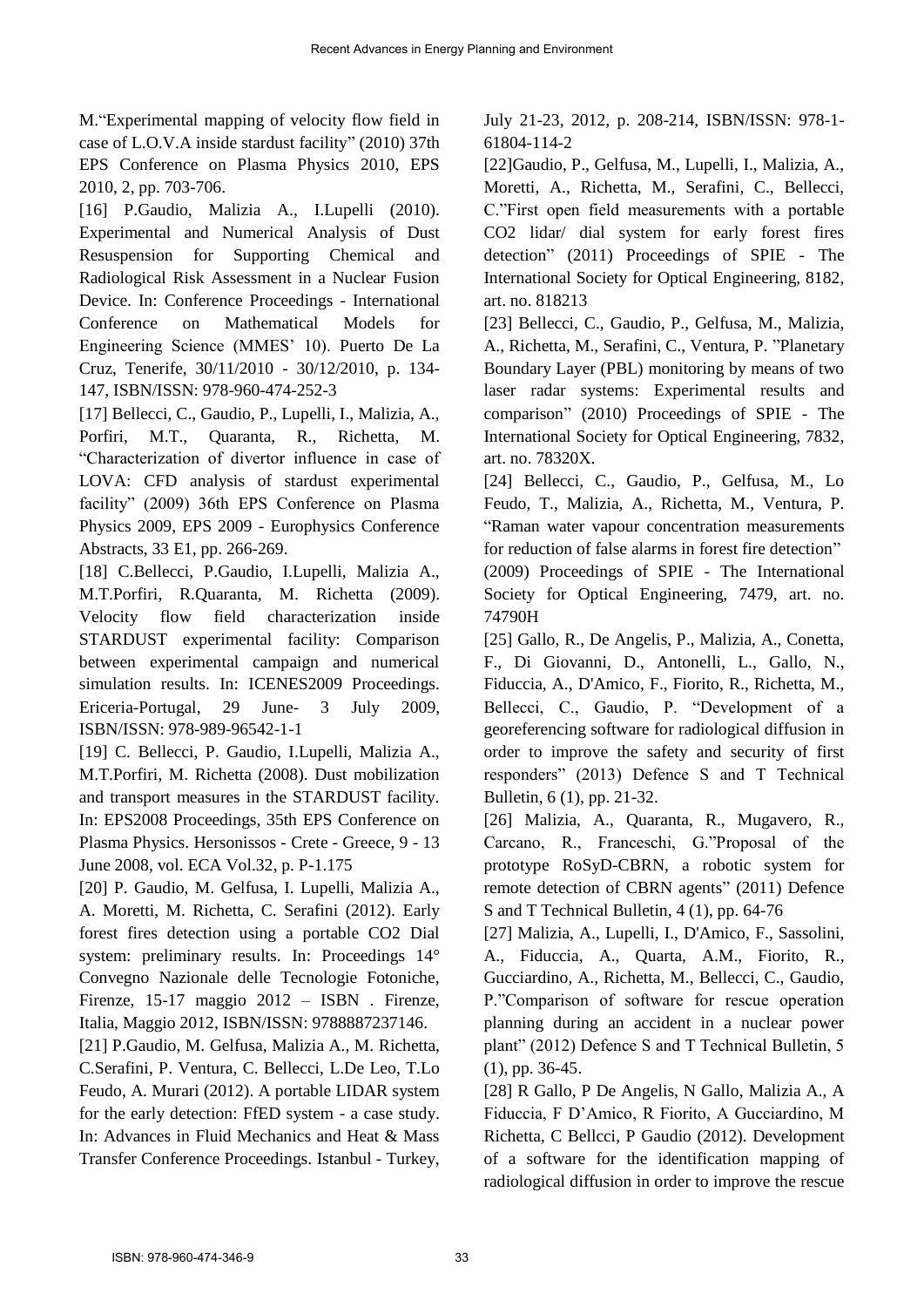M."Experimental mapping of velocity flow field in case of L.O.V.A inside stardust facility" (2010) 37th EPS Conference on Plasma Physics 2010, EPS 2010, 2, pp. 703-706.

[16] P.Gaudio, Malizia A., I.Lupelli (2010). Experimental and Numerical Analysis of Dust Resuspension for Supporting Chemical and Radiological Risk Assessment in a Nuclear Fusion Device. In: Conference Proceedings - International Conference on Mathematical Models for Engineering Science (MMES' 10). Puerto De La Cruz, Tenerife, 30/11/2010 - 30/12/2010, p. 134- 147, ISBN/ISSN: 978-960-474-252-3

[17] Bellecci, C., Gaudio, P., Lupelli, I., Malizia, A., Porfiri, M.T., Quaranta, R., Richetta, M. "Characterization of divertor influence in case of LOVA: CFD analysis of stardust experimental facility" (2009) 36th EPS Conference on Plasma Physics 2009, EPS 2009 - Europhysics Conference Abstracts, 33 E1, pp. 266-269.

[18] C.Bellecci, P.Gaudio, I.Lupelli, Malizia A., M.T.Porfiri, R.Quaranta, M. Richetta (2009). Velocity flow field characterization inside STARDUST experimental facility: Comparison between experimental campaign and numerical simulation results. In: ICENES2009 Proceedings. Ericeria-Portugal, 29 June- 3 July 2009, ISBN/ISSN: 978-989-96542-1-1

[19] C. Bellecci, P. Gaudio, I.Lupelli, Malizia A., M.T.Porfiri, M. Richetta (2008). Dust mobilization and transport measures in the STARDUST facility. In: EPS2008 Proceedings, 35th EPS Conference on Plasma Physics. Hersonissos - Crete - Greece, 9 - 13 June 2008, vol. ECA Vol.32, p. P-1.175

[20] P. Gaudio, M. Gelfusa, I. Lupelli, Malizia A., A. Moretti, M. Richetta, C. Serafini (2012). Early forest fires detection using a portable CO2 Dial system: preliminary results. In: Proceedings 14° Convegno Nazionale delle Tecnologie Fotoniche, Firenze, 15-17 maggio 2012 – ISBN . Firenze, Italia, Maggio 2012, ISBN/ISSN: 9788887237146.

[21] P.Gaudio, M. Gelfusa, Malizia A., M. Richetta, C.Serafini, P. Ventura, C. Bellecci, L.De Leo, T.Lo Feudo, A. Murari (2012). A portable LIDAR system for the early detection: FfED system - a case study. In: Advances in Fluid Mechanics and Heat & Mass Transfer Conference Proceedings. Istanbul - Turkey,

July 21-23, 2012, p. 208-214, ISBN/ISSN: 978-1- 61804-114-2

[22]Gaudio, P., Gelfusa, M., Lupelli, I., Malizia, A., Moretti, A., Richetta, M., Serafini, C., Bellecci, C."First open field measurements with a portable CO2 lidar/ dial system for early forest fires detection" (2011) Proceedings of SPIE - The International Society for Optical Engineering, 8182, art. no. 818213

[23] Bellecci, C., Gaudio, P., Gelfusa, M., Malizia, A., Richetta, M., Serafini, C., Ventura, P. "Planetary Boundary Layer (PBL) monitoring by means of two laser radar systems: Experimental results and comparison" (2010) Proceedings of SPIE - The International Society for Optical Engineering, 7832, art. no. 78320X.

[24] Bellecci, C., Gaudio, P., Gelfusa, M., Lo Feudo, T., Malizia, A., Richetta, M., Ventura, P. "Raman water vapour concentration measurements for reduction of false alarms in forest fire detection" (2009) Proceedings of SPIE - The International Society for Optical Engineering, 7479, art. no. 74790H

[25] Gallo, R., De Angelis, P., Malizia, A., Conetta, F., Di Giovanni, D., Antonelli, L., Gallo, N., Fiduccia, A., D'Amico, F., Fiorito, R., Richetta, M., Bellecci, C., Gaudio, P. "Development of a georeferencing software for radiological diffusion in order to improve the safety and security of first responders" (2013) Defence S and T Technical Bulletin, 6 (1), pp. 21-32.

[26] Malizia, A., Quaranta, R., Mugavero, R., Carcano, R., Franceschi, G."Proposal of the prototype RoSyD-CBRN, a robotic system for remote detection of CBRN agents" (2011) Defence S and T Technical Bulletin, 4 (1), pp. 64-76

[27] Malizia, A., Lupelli, I., D'Amico, F., Sassolini, A., Fiduccia, A., Quarta, A.M., Fiorito, R., Gucciardino, A., Richetta, M., Bellecci, C., Gaudio, P."Comparison of software for rescue operation planning during an accident in a nuclear power plant" (2012) Defence S and T Technical Bulletin, 5 (1), pp. 36-45.

[28] R Gallo, P De Angelis, N Gallo, Malizia A., A Fiduccia, F D'Amico, R Fiorito, A Gucciardino, M Richetta, C Bellcci, P Gaudio (2012). Development of a software for the identification mapping of radiological diffusion in order to improve the rescue